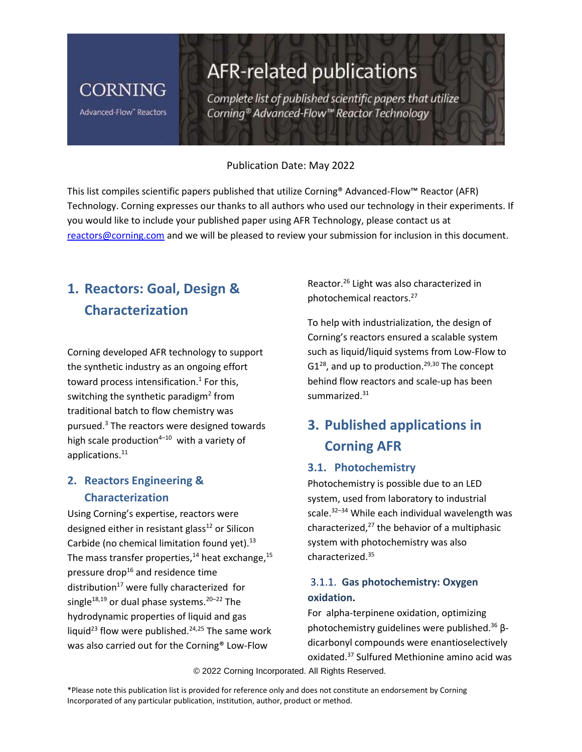# **CORNING**

Advanced-Flow" Reactors

# AFR-related publications

Complete list of published scientific papers that utilize Corning® Advanced-Flow™ Reactor Technology

#### Publication Date: May 2022

This list compiles scientific papers published that utilize Corning® Advanced-Flow™ Reactor (AFR) Technology. Corning expresses our thanks to all authors who used our technology in their experiments. If you would like to include your published paper using AFR Technology, please contact us at [reactors@corning.com](mailto:reactors@corning.com) and we will be pleased to review your submission for inclusion in this document.

# **1. Reactors: Goal, Design & Characterization**

Corning developed AFR technology to support the synthetic industry as an ongoing effort toward process intensification.<sup>1</sup> For this, switching the synthetic paradigm<sup>2</sup> from traditional batch to flow chemistry was pursued.<sup>3</sup> The reactors were designed towards high scale production $4-10$  with a variety of applications. 11

# **2. Reactors Engineering & Characterization**

Using Corning's expertise, reactors were designed either in resistant glass $12$  or Silicon Carbide (no chemical limitation found yet).<sup>13</sup> The mass transfer properties, $14$  heat exchange,  $15$ pressure drop<sup>16</sup> and residence time distribution $17$  were fully characterized for single<sup>18,19</sup> or dual phase systems.<sup>20–22</sup> The hydrodynamic properties of liquid and gas liquid<sup>23</sup> flow were published.<sup>24,25</sup> The same work was also carried out for the Corning® Low-Flow

Reactor.<sup>26</sup> Light was also characterized in photochemical reactors.<sup>27</sup>

To help with industrialization, the design of Corning's reactors ensured a scalable system such as liquid/liquid systems from Low-Flow to  $G1^{28}$ , and up to production.<sup>29,30</sup> The concept behind flow reactors and scale-up has been summarized.<sup>31</sup>

# **3. Published applications in Corning AFR**

#### **3.1. Photochemistry**

Photochemistry is possible due to an LED system, used from laboratory to industrial scale. <sup>32</sup>–<sup>34</sup> While each individual wavelength was characterized, $^{27}$  the behavior of a multiphasic system with photochemistry was also characterized.<sup>35</sup>

# 3.1.1. **Gas photochemistry: Oxygen oxidation.**

For alpha-terpinene oxidation, optimizing photochemistry guidelines were published.<sup>36</sup> βdicarbonyl compounds were enantioselectively oxidated.<sup>37</sup> Sulfured Methionine amino acid was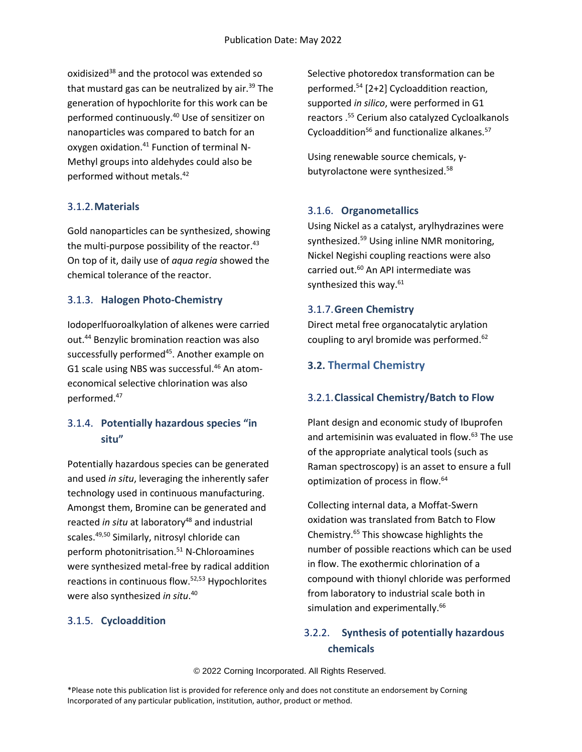oxidisized<sup>38</sup> and the protocol was extended so that mustard gas can be neutralized by air. $39$  The generation of hypochlorite for this work can be performed continuously.<sup>40</sup> Use of sensitizer on nanoparticles was compared to batch for an oxygen oxidation.<sup>41</sup> Function of terminal N-Methyl groups into aldehydes could also be performed without metals.<sup>42</sup>

# 3.1.2.**Materials**

Gold nanoparticles can be synthesized, showing the multi-purpose possibility of the reactor.<sup>43</sup> On top of it, daily use of *aqua regia* showed the chemical tolerance of the reactor.

### 3.1.3. **Halogen Photo-Chemistry**

Iodoperlfuoroalkylation of alkenes were carried out.<sup>44</sup> Benzylic bromination reaction was also successfully performed<sup>45</sup>. Another example on G1 scale using NBS was successful.<sup>46</sup> An atomeconomical selective chlorination was also performed.<sup>47</sup>

# 3.1.4. **Potentially hazardous species "in situ"**

Potentially hazardous species can be generated and used *in situ*, leveraging the inherently safer technology used in continuous manufacturing. Amongst them, Bromine can be generated and reacted *in situ* at laboratory<sup>48</sup> and industrial scales. 49,50 Similarly, nitrosyl chloride can perform photonitrisation.<sup>51</sup> N-Chloroamines were synthesized metal-free by radical addition reactions in continuous flow.<sup>52,53</sup> Hypochlorites were also synthesized *in situ*. 40

# 3.1.5. **Cycloaddition**

Selective photoredox transformation can be performed.<sup>54</sup> [2+2] Cycloaddition reaction, supported *in silico*, were performed in G1 reactors .<sup>55</sup> Cerium also catalyzed Cycloalkanols Cycloaddition<sup>56</sup> and functionalize alkanes.<sup>57</sup>

Using renewable source chemicals, γbutyrolactone were synthesized.<sup>58</sup>

# 3.1.6. **Organometallics**

Using Nickel as a catalyst, arylhydrazines were synthesized.<sup>59</sup> Using inline NMR monitoring, Nickel Negishi coupling reactions were also carried out.<sup>60</sup> An API intermediate was synthesized this way.<sup>61</sup>

### 3.1.7.**Green Chemistry**

Direct metal free organocatalytic arylation coupling to aryl bromide was performed.<sup>62</sup>

# **3.2. Thermal Chemistry**

# 3.2.1.**Classical Chemistry/Batch to Flow**

Plant design and economic study of Ibuprofen and artemisinin was evaluated in flow.<sup>63</sup> The use of the appropriate analytical tools (such as Raman spectroscopy) is an asset to ensure a full optimization of process in flow.<sup>64</sup>

Collecting internal data, a Moffat-Swern oxidation was translated from Batch to Flow Chemistry.<sup>65</sup> This showcase highlights the number of possible reactions which can be used in flow. The exothermic chlorination of a compound with thionyl chloride was performed from laboratory to industrial scale both in simulation and experimentally.<sup>66</sup>

# 3.2.2. **Synthesis of potentially hazardous chemicals**

© 2022 Corning Incorporated. All Rights Reserved.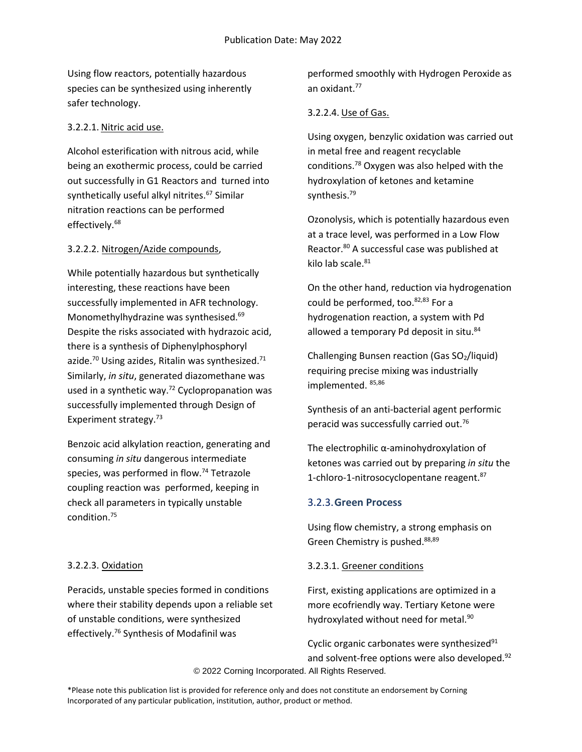Using flow reactors, potentially hazardous species can be synthesized using inherently safer technology.

#### 3.2.2.1. Nitric acid use.

Alcohol esterification with nitrous acid, while being an exothermic process, could be carried out successfully in G1 Reactors and turned into synthetically useful alkyl nitrites.<sup>67</sup> Similar nitration reactions can be performed effectively.<sup>68</sup>

#### 3.2.2.2. Nitrogen/Azide compounds,

While potentially hazardous but synthetically interesting, these reactions have been successfully implemented in AFR technology. Monomethylhydrazine was synthesised.<sup>69</sup> Despite the risks associated with hydrazoic acid, there is a synthesis of Diphenylphosphoryl azide.<sup>70</sup> Using azides, Ritalin was synthesized.<sup>71</sup> Similarly, *in situ*, generated diazomethane was used in a synthetic way. $72$  Cyclopropanation was successfully implemented through Design of Experiment strategy.<sup>73</sup>

Benzoic acid alkylation reaction, generating and consuming *in situ* dangerous intermediate species, was performed in flow.<sup>74</sup> Tetrazole coupling reaction was performed, keeping in check all parameters in typically unstable condition. 75

#### 3.2.2.3. Oxidation

Peracids, unstable species formed in conditions where their stability depends upon a reliable set of unstable conditions, were synthesized effectively. <sup>76</sup> Synthesis of Modafinil was

performed smoothly with Hydrogen Peroxide as an oxidant.<sup>77</sup>

#### 3.2.2.4. Use of Gas.

Using oxygen, benzylic oxidation was carried out in metal free and reagent recyclable conditions.<sup>78</sup> Oxygen was also helped with the hydroxylation of ketones and ketamine synthesis. 79

Ozonolysis, which is potentially hazardous even at a trace level, was performed in a Low Flow Reactor.<sup>80</sup> A successful case was published at kilo lab scale. $81$ 

On the other hand, reduction via hydrogenation could be performed, too.<sup>82,83</sup> For a hydrogenation reaction, a system with Pd allowed a temporary Pd deposit in situ.<sup>84</sup>

Challenging Bunsen reaction (Gas SO2/liquid) requiring precise mixing was industrially implemented. 85,86

Synthesis of an anti-bacterial agent performic peracid was successfully carried out.<sup>76</sup>

The electrophilic α-aminohydroxylation of ketones was carried out by preparing *in situ* the 1-chloro-1-nitrosocyclopentane reagent.<sup>87</sup>

#### 3.2.3.**Green Process**

Using flow chemistry, a strong emphasis on Green Chemistry is pushed.<sup>88,89</sup>

#### 3.2.3.1. Greener conditions

First, existing applications are optimized in a more ecofriendly way. Tertiary Ketone were hydroxylated without need for metal.<sup>90</sup>

Cyclic organic carbonates were synthesized $91$ and solvent-free options were also developed.<sup>92</sup>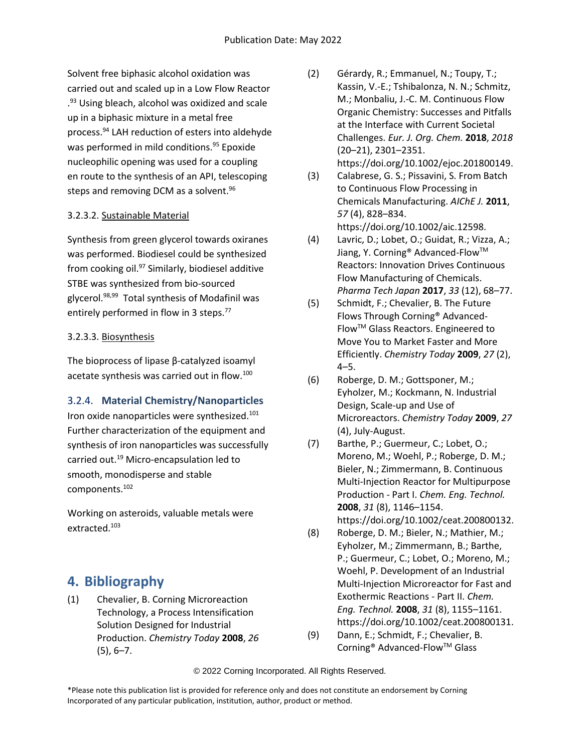Solvent free biphasic alcohol oxidation was carried out and scaled up in a Low Flow Reactor .<sup>93</sup> Using bleach, alcohol was oxidized and scale up in a biphasic mixture in a metal free process.<sup>94</sup> LAH reduction of esters into aldehyde was performed in mild conditions.<sup>95</sup> Epoxide nucleophilic opening was used for a coupling en route to the synthesis of an API, telescoping steps and removing DCM as a solvent.<sup>96</sup>

#### 3.2.3.2. Sustainable Material

Synthesis from green glycerol towards oxiranes was performed. Biodiesel could be synthesized from cooking oil.<sup>97</sup> Similarly, biodiesel additive STBE was synthesized from bio-sourced glycerol.98,99 Total synthesis of Modafinil was entirely performed in flow in 3 steps.<sup>77</sup>

#### 3.2.3.3. Biosynthesis

The bioprocess of lipase β-catalyzed isoamyl acetate synthesis was carried out in flow.<sup>100</sup>

# 3.2.4. **Material Chemistry/Nanoparticles**

Iron oxide nanoparticles were synthesized.<sup>101</sup> Further characterization of the equipment and synthesis of iron nanoparticles was successfully carried out.<sup>19</sup> Micro-encapsulation led to smooth, monodisperse and stable components.<sup>102</sup>

Working on asteroids, valuable metals were extracted.<sup>103</sup>

# **4. Bibliography**

(1) Chevalier, B. Corning Microreaction Technology, a Process Intensification Solution Designed for Industrial Production. *Chemistry Today* **2008**, *26* (5), 6–7.

- (2) Gérardy, R.; Emmanuel, N.; Toupy, T.; Kassin, V.-E.; Tshibalonza, N. N.; Schmitz, M.; Monbaliu, J.-C. M. Continuous Flow Organic Chemistry: Successes and Pitfalls at the Interface with Current Societal Challenges. *Eur. J. Org. Chem.* **2018**, *2018* (20–21), 2301–2351. https://doi.org/10.1002/ejoc.201800149.
- (3) Calabrese, G. S.; Pissavini, S. From Batch to Continuous Flow Processing in Chemicals Manufacturing. *AIChE J.* **2011**, *57* (4), 828–834. https://doi.org/10.1002/aic.12598.
- (4) Lavric, D.; Lobet, O.; Guidat, R.; Vizza, A.; Jiang, Y. Corning® Advanced-Flow™ Reactors: Innovation Drives Continuous Flow Manufacturing of Chemicals. *Pharma Tech Japan* **2017**, *33* (12), 68–77.
- (5) Schmidt, F.; Chevalier, B. The Future Flows Through Corning® Advanced-FlowTM Glass Reactors. Engineered to Move You to Market Faster and More Efficiently. *Chemistry Today* **2009**, *27* (2), 4–5.
- (6) Roberge, D. M.; Gottsponer, M.; Eyholzer, M.; Kockmann, N. Industrial Design, Scale-up and Use of Microreactors. *Chemistry Today* **2009**, *27* (4), July-August.
- (7) Barthe, P.; Guermeur, C.; Lobet, O.; Moreno, M.; Woehl, P.; Roberge, D. M.; Bieler, N.; Zimmermann, B. Continuous Multi-Injection Reactor for Multipurpose Production - Part I. *Chem. Eng. Technol.* **2008**, *31* (8), 1146–1154. https://doi.org/10.1002/ceat.200800132.
- (8) Roberge, D. M.; Bieler, N.; Mathier, M.; Eyholzer, M.; Zimmermann, B.; Barthe, P.; Guermeur, C.; Lobet, O.; Moreno, M.; Woehl, P. Development of an Industrial Multi-Injection Microreactor for Fast and Exothermic Reactions - Part II. *Chem. Eng. Technol.* **2008**, *31* (8), 1155–1161. https://doi.org/10.1002/ceat.200800131.
- (9) Dann, E.; Schmidt, F.; Chevalier, B. Corning<sup>®</sup> Advanced-Flow™ Glass

© 2022 Corning Incorporated. All Rights Reserved.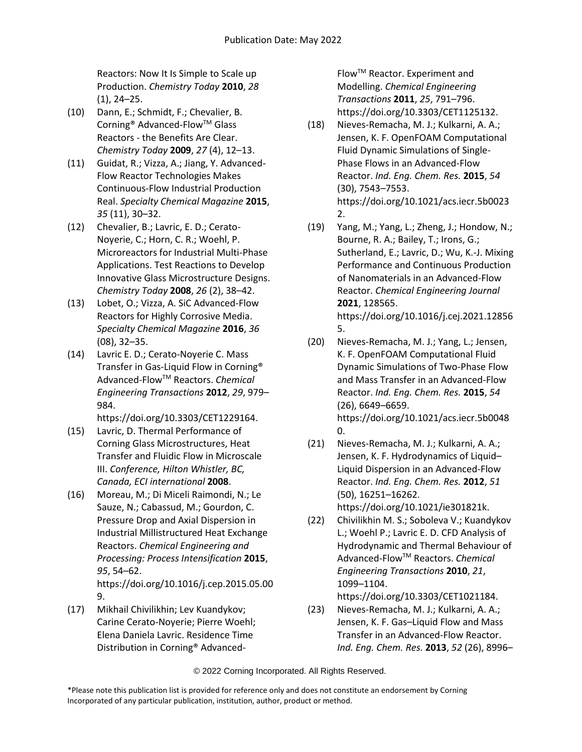Reactors: Now It Is Simple to Scale up Production. *Chemistry Today* **2010**, *28* (1), 24–25.

- (10) Dann, E.; Schmidt, F.; Chevalier, B. Corning<sup>®</sup> Advanced-Flow™ Glass Reactors - the Benefits Are Clear. *Chemistry Today* **2009**, *27* (4), 12–13.
- (11) Guidat, R.; Vizza, A.; Jiang, Y. Advanced-Flow Reactor Technologies Makes Continuous-Flow Industrial Production Real. *Specialty Chemical Magazine* **2015**, *35* (11), 30–32.
- (12) Chevalier, B.; Lavric, E. D.; Cerato-Noyerie, C.; Horn, C. R.; Woehl, P. Microreactors for Industrial Multi-Phase Applications. Test Reactions to Develop Innovative Glass Microstructure Designs. *Chemistry Today* **2008**, *26* (2), 38–42.
- (13) Lobet, O.; Vizza, A. SiC Advanced-Flow Reactors for Highly Corrosive Media. *Specialty Chemical Magazine* **2016**, *36* (08), 32–35.
- (14) Lavric E. D.; Cerato-Noyerie C. Mass Transfer in Gas-Liquid Flow in Corning® Advanced-FlowTM Reactors. *Chemical Engineering Transactions* **2012**, *29*, 979– 984.

https://doi.org/10.3303/CET1229164.

- (15) Lavric, D. Thermal Performance of Corning Glass Microstructures, Heat Transfer and Fluidic Flow in Microscale III. *Conference, Hilton Whistler, BC, Canada, ECI international* **2008**.
- (16) Moreau, M.; Di Miceli Raimondi, N.; Le Sauze, N.; Cabassud, M.; Gourdon, C. Pressure Drop and Axial Dispersion in Industrial Millistructured Heat Exchange Reactors. *Chemical Engineering and Processing: Process Intensification* **2015**, *95*, 54–62. https://doi.org/10.1016/j.cep.2015.05.00 9.
- (17) Mikhail Chivilikhin; Lev Kuandykov; Carine Cerato-Noyerie; Pierre Woehl; Elena Daniela Lavric. Residence Time Distribution in Corning® Advanced-

FlowTM Reactor. Experiment and Modelling. *Chemical Engineering Transactions* **2011**, *25*, 791–796. https://doi.org/10.3303/CET1125132.

- (18) Nieves-Remacha, M. J.; Kulkarni, A. A.; Jensen, K. F. OpenFOAM Computational Fluid Dynamic Simulations of Single-Phase Flows in an Advanced-Flow Reactor. *Ind. Eng. Chem. Res.* **2015**, *54* (30), 7543–7553. https://doi.org/10.1021/acs.iecr.5b0023 2.
- (19) Yang, M.; Yang, L.; Zheng, J.; Hondow, N.; Bourne, R. A.; Bailey, T.; Irons, G.; Sutherland, E.; Lavric, D.; Wu, K.-J. Mixing Performance and Continuous Production of Nanomaterials in an Advanced-Flow Reactor. *Chemical Engineering Journal* **2021**, 128565. https://doi.org/10.1016/j.cej.2021.12856 5.
- (20) Nieves-Remacha, M. J.; Yang, L.; Jensen, K. F. OpenFOAM Computational Fluid Dynamic Simulations of Two-Phase Flow and Mass Transfer in an Advanced-Flow Reactor. *Ind. Eng. Chem. Res.* **2015**, *54* (26), 6649–6659. https://doi.org/10.1021/acs.iecr.5b0048 0.
- (21) Nieves-Remacha, M. J.; Kulkarni, A. A.; Jensen, K. F. Hydrodynamics of Liquid– Liquid Dispersion in an Advanced-Flow Reactor. *Ind. Eng. Chem. Res.* **2012**, *51* (50), 16251–16262. https://doi.org/10.1021/ie301821k.
- (22) Chivilikhin M. S.; Soboleva V.; Kuandykov L.; Woehl P.; Lavric E. D. CFD Analysis of Hydrodynamic and Thermal Behaviour of Advanced-FlowTM Reactors. *Chemical Engineering Transactions* **2010**, *21*, 1099–1104.

https://doi.org/10.3303/CET1021184.

(23) Nieves-Remacha, M. J.; Kulkarni, A. A.; Jensen, K. F. Gas–Liquid Flow and Mass Transfer in an Advanced-Flow Reactor. *Ind. Eng. Chem. Res.* **2013**, *52* (26), 8996–

<sup>\*</sup>Please note this publication list is provided for reference only and does not constitute an endorsement by Corning Incorporated of any particular publication, institution, author, product or method.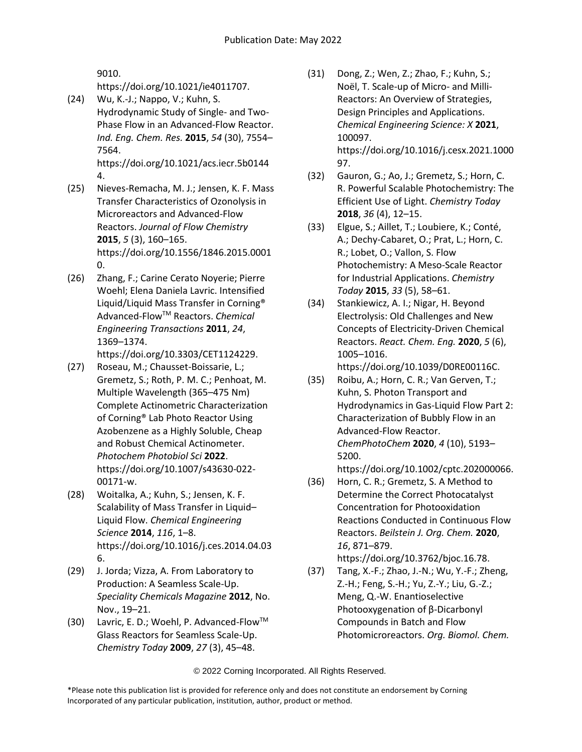9010.

https://doi.org/10.1021/ie4011707.

(24) Wu, K.-J.; Nappo, V.; Kuhn, S. Hydrodynamic Study of Single- and Two-Phase Flow in an Advanced-Flow Reactor. *Ind. Eng. Chem. Res.* **2015**, *54* (30), 7554– 7564. https://doi.org/10.1021/acs.iecr.5b0144

4.

- (25) Nieves-Remacha, M. J.; Jensen, K. F. Mass Transfer Characteristics of Ozonolysis in Microreactors and Advanced-Flow Reactors. *Journal of Flow Chemistry* **2015**, *5* (3), 160–165. https://doi.org/10.1556/1846.2015.0001 0.
- (26) Zhang, F.; Carine Cerato Noyerie; Pierre Woehl; Elena Daniela Lavric. Intensified Liquid/Liquid Mass Transfer in Corning® Advanced-FlowTM Reactors. *Chemical Engineering Transactions* **2011**, *24*, 1369–1374.

https://doi.org/10.3303/CET1124229.

- (27) Roseau, M.; Chausset-Boissarie, L.; Gremetz, S.; Roth, P. M. C.; Penhoat, M. Multiple Wavelength (365–475 Nm) Complete Actinometric Characterization of Corning® Lab Photo Reactor Using Azobenzene as a Highly Soluble, Cheap and Robust Chemical Actinometer. *Photochem Photobiol Sci* **2022**. https://doi.org/10.1007/s43630-022- 00171-w.
- (28) Woitalka, A.; Kuhn, S.; Jensen, K. F. Scalability of Mass Transfer in Liquid– Liquid Flow. *Chemical Engineering Science* **2014**, *116*, 1–8. https://doi.org/10.1016/j.ces.2014.04.03 6.
- (29) J. Jorda; Vizza, A. From Laboratory to Production: A Seamless Scale-Up. *Speciality Chemicals Magazine* **2012**, No. Nov., 19–21.
- (30) Lavric, E. D.; Woehl, P. Advanced-FlowTM Glass Reactors for Seamless Scale-Up. *Chemistry Today* **2009**, *27* (3), 45–48.
- (31) Dong, Z.; Wen, Z.; Zhao, F.; Kuhn, S.; Noël, T. Scale-up of Micro- and Milli-Reactors: An Overview of Strategies, Design Principles and Applications. *Chemical Engineering Science: X* **2021**, 100097. https://doi.org/10.1016/j.cesx.2021.1000 97.
- (32) Gauron, G.; Ao, J.; Gremetz, S.; Horn, C. R. Powerful Scalable Photochemistry: The Efficient Use of Light. *Chemistry Today* **2018**, *36* (4), 12–15.
- (33) Elgue, S.; Aillet, T.; Loubiere, K.; Conté, A.; Dechy-Cabaret, O.; Prat, L.; Horn, C. R.; Lobet, O.; Vallon, S. Flow Photochemistry: A Meso-Scale Reactor for Industrial Applications. *Chemistry Today* **2015**, *33* (5), 58–61.
- (34) Stankiewicz, A. I.; Nigar, H. Beyond Electrolysis: Old Challenges and New Concepts of Electricity-Driven Chemical Reactors. *React. Chem. Eng.* **2020**, *5* (6), 1005–1016. https://doi.org/10.1039/D0RE00116C.
- (35) Roibu, A.; Horn, C. R.; Van Gerven, T.; Kuhn, S. Photon Transport and Hydrodynamics in Gas‐Liquid Flow Part 2: Characterization of Bubbly Flow in an Advanced‐Flow Reactor. *ChemPhotoChem* **2020**, *4* (10), 5193– 5200. https://doi.org/10.1002/cptc.202000066.
- (36) Horn, C. R.; Gremetz, S. A Method to Determine the Correct Photocatalyst Concentration for Photooxidation Reactions Conducted in Continuous Flow Reactors. *Beilstein J. Org. Chem.* **2020**, *16*, 871–879.
	- https://doi.org/10.3762/bjoc.16.78.
- (37) Tang, X.-F.; Zhao, J.-N.; Wu, Y.-F.; Zheng, Z.-H.; Feng, S.-H.; Yu, Z.-Y.; Liu, G.-Z.; Meng, Q.-W. Enantioselective Photooxygenation of β-Dicarbonyl Compounds in Batch and Flow Photomicroreactors. *Org. Biomol. Chem.*

© 2022 Corning Incorporated. All Rights Reserved.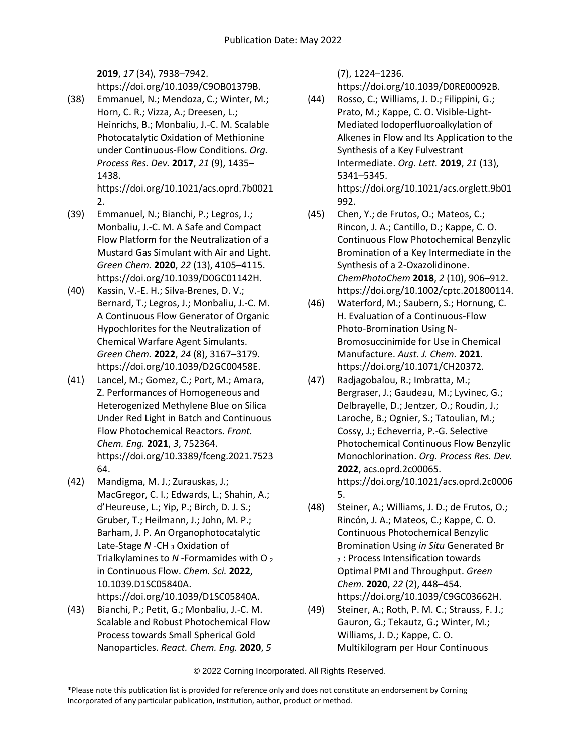**2019**, *17* (34), 7938–7942. https://doi.org/10.1039/C9OB01379B.

(38) Emmanuel, N.; Mendoza, C.; Winter, M.; Horn, C. R.; Vizza, A.; Dreesen, L.; Heinrichs, B.; Monbaliu, J.-C. M. Scalable Photocatalytic Oxidation of Methionine under Continuous-Flow Conditions. *Org. Process Res. Dev.* **2017**, *21* (9), 1435– 1438.

https://doi.org/10.1021/acs.oprd.7b0021 2.

- (39) Emmanuel, N.; Bianchi, P.; Legros, J.; Monbaliu, J.-C. M. A Safe and Compact Flow Platform for the Neutralization of a Mustard Gas Simulant with Air and Light. *Green Chem.* **2020**, *22* (13), 4105–4115. https://doi.org/10.1039/D0GC01142H.
- (40) Kassin, V.-E. H.; Silva-Brenes, D. V.; Bernard, T.; Legros, J.; Monbaliu, J.-C. M. A Continuous Flow Generator of Organic Hypochlorites for the Neutralization of Chemical Warfare Agent Simulants. *Green Chem.* **2022**, *24* (8), 3167–3179. https://doi.org/10.1039/D2GC00458E.
- (41) Lancel, M.; Gomez, C.; Port, M.; Amara, Z. Performances of Homogeneous and Heterogenized Methylene Blue on Silica Under Red Light in Batch and Continuous Flow Photochemical Reactors. *Front. Chem. Eng.* **2021**, *3*, 752364. https://doi.org/10.3389/fceng.2021.7523 64.
- (42) Mandigma, M. J.; Zurauskas, J.; MacGregor, C. I.; Edwards, L.; Shahin, A.; d'Heureuse, L.; Yip, P.; Birch, D. J. S.; Gruber, T.; Heilmann, J.; John, M. P.; Barham, J. P. An Organophotocatalytic Late-Stage N -CH<sub>3</sub> Oxidation of Trialkylamines to *N* -Formamides with O <sup>2</sup> in Continuous Flow. *Chem. Sci.* **2022**, 10.1039.D1SC05840A. https://doi.org/10.1039/D1SC05840A.
- (43) Bianchi, P.; Petit, G.; Monbaliu, J.-C. M. Scalable and Robust Photochemical Flow Process towards Small Spherical Gold Nanoparticles. *React. Chem. Eng.* **2020**, *5*

(7), 1224–1236.

https://doi.org/10.1039/D0RE00092B.

- (44) Rosso, C.; Williams, J. D.; Filippini, G.; Prato, M.; Kappe, C. O. Visible-Light-Mediated Iodoperfluoroalkylation of Alkenes in Flow and Its Application to the Synthesis of a Key Fulvestrant Intermediate. *Org. Lett.* **2019**, *21* (13), 5341–5345. https://doi.org/10.1021/acs.orglett.9b01 992.
- (45) Chen, Y.; de Frutos, O.; Mateos, C.; Rincon, J. A.; Cantillo, D.; Kappe, C. O. Continuous Flow Photochemical Benzylic Bromination of a Key Intermediate in the Synthesis of a 2-Oxazolidinone. *ChemPhotoChem* **2018**, *2* (10), 906–912. https://doi.org/10.1002/cptc.201800114.
- (46) Waterford, M.; Saubern, S.; Hornung, C. H. Evaluation of a Continuous-Flow Photo-Bromination Using N-Bromosuccinimide for Use in Chemical Manufacture. *Aust. J. Chem.* **2021**. https://doi.org/10.1071/CH20372.
- (47) Radjagobalou, R.; Imbratta, M.; Bergraser, J.; Gaudeau, M.; Lyvinec, G.; Delbrayelle, D.; Jentzer, O.; Roudin, J.; Laroche, B.; Ognier, S.; Tatoulian, M.; Cossy, J.; Echeverria, P.-G. Selective Photochemical Continuous Flow Benzylic Monochlorination. *Org. Process Res. Dev.* **2022**, acs.oprd.2c00065. https://doi.org/10.1021/acs.oprd.2c0006 5.
- (48) Steiner, A.; Williams, J. D.; de Frutos, O.; Rincón, J. A.; Mateos, C.; Kappe, C. O. Continuous Photochemical Benzylic Bromination Using *in Situ* Generated Br <sup>2</sup> : Process Intensification towards Optimal PMI and Throughput. *Green Chem.* **2020**, *22* (2), 448–454. https://doi.org/10.1039/C9GC03662H.
- (49) Steiner, A.; Roth, P. M. C.; Strauss, F. J.; Gauron, G.; Tekautz, G.; Winter, M.; Williams, J. D.; Kappe, C. O. Multikilogram per Hour Continuous

<sup>\*</sup>Please note this publication list is provided for reference only and does not constitute an endorsement by Corning Incorporated of any particular publication, institution, author, product or method.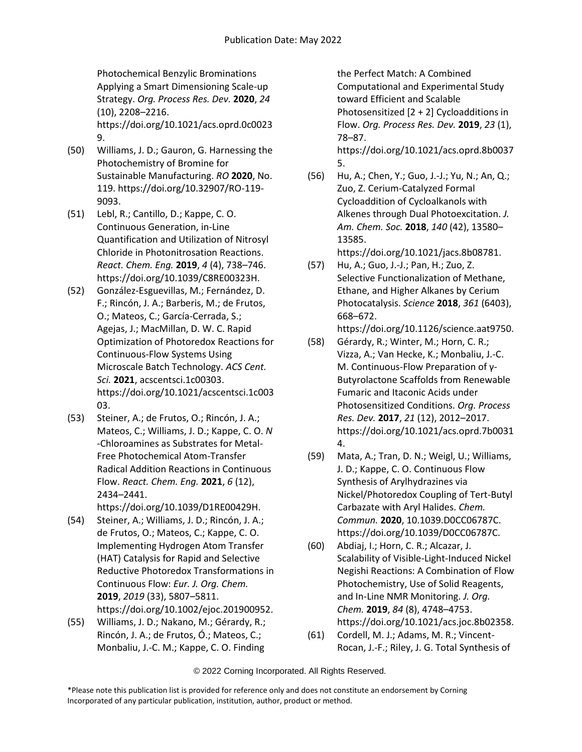Photochemical Benzylic Brominations Applying a Smart Dimensioning Scale-up Strategy. *Org. Process Res. Dev.* **2020**, *24* (10), 2208–2216. https://doi.org/10.1021/acs.oprd.0c0023 9.

- (50) Williams, J. D.; Gauron, G. Harnessing the Photochemistry of Bromine for Sustainable Manufacturing. *RO* **2020**, No. 119. https://doi.org/10.32907/RO-119- 9093.
- (51) Lebl, R.; Cantillo, D.; Kappe, C. O. Continuous Generation, in-Line Quantification and Utilization of Nitrosyl Chloride in Photonitrosation Reactions. *React. Chem. Eng.* **2019**, *4* (4), 738–746. https://doi.org/10.1039/C8RE00323H.
- (52) González-Esguevillas, M.; Fernández, D. F.; Rincón, J. A.; Barberis, M.; de Frutos, O.; Mateos, C.; García-Cerrada, S.; Agejas, J.; MacMillan, D. W. C. Rapid Optimization of Photoredox Reactions for Continuous-Flow Systems Using Microscale Batch Technology. *ACS Cent. Sci.* **2021**, acscentsci.1c00303. https://doi.org/10.1021/acscentsci.1c003 03.
- (53) Steiner, A.; de Frutos, O.; Rincón, J. A.; Mateos, C.; Williams, J. D.; Kappe, C. O. *N* -Chloroamines as Substrates for Metal-Free Photochemical Atom-Transfer Radical Addition Reactions in Continuous Flow. *React. Chem. Eng.* **2021**, *6* (12), 2434–2441.

https://doi.org/10.1039/D1RE00429H.

- (54) Steiner, A.; Williams, J. D.; Rincón, J. A.; de Frutos, O.; Mateos, C.; Kappe, C. O. Implementing Hydrogen Atom Transfer (HAT) Catalysis for Rapid and Selective Reductive Photoredox Transformations in Continuous Flow: *Eur. J. Org. Chem.* **2019**, *2019* (33), 5807–5811. https://doi.org/10.1002/ejoc.201900952.
- (55) Williams, J. D.; Nakano, M.; Gérardy, R.; Rincón, J. A.; de Frutos, Ó.; Mateos, C.; Monbaliu, J.-C. M.; Kappe, C. O. Finding

the Perfect Match: A Combined Computational and Experimental Study toward Efficient and Scalable Photosensitized [2 + 2] Cycloadditions in Flow. *Org. Process Res. Dev.* **2019**, *23* (1), 78–87.

https://doi.org/10.1021/acs.oprd.8b0037 5.

(56) Hu, A.; Chen, Y.; Guo, J.-J.; Yu, N.; An, Q.; Zuo, Z. Cerium-Catalyzed Formal Cycloaddition of Cycloalkanols with Alkenes through Dual Photoexcitation. *J. Am. Chem. Soc.* **2018**, *140* (42), 13580– 13585.

https://doi.org/10.1021/jacs.8b08781.

- (57) Hu, A.; Guo, J.-J.; Pan, H.; Zuo, Z. Selective Functionalization of Methane, Ethane, and Higher Alkanes by Cerium Photocatalysis. *Science* **2018**, *361* (6403), 668–672. https://doi.org/10.1126/science.aat9750.
- (58) Gérardy, R.; Winter, M.; Horn, C. R.; Vizza, A.; Van Hecke, K.; Monbaliu, J.-C. M. Continuous-Flow Preparation of γ-Butyrolactone Scaffolds from Renewable Fumaric and Itaconic Acids under Photosensitized Conditions. *Org. Process Res. Dev.* **2017**, *21* (12), 2012–2017. https://doi.org/10.1021/acs.oprd.7b0031 4.
- (59) Mata, A.; Tran, D. N.; Weigl, U.; Williams, J. D.; Kappe, C. O. Continuous Flow Synthesis of Arylhydrazines via Nickel/Photoredox Coupling of Tert-Butyl Carbazate with Aryl Halides. *Chem. Commun.* **2020**, 10.1039.D0CC06787C. https://doi.org/10.1039/D0CC06787C.
- (60) Abdiaj, I.; Horn, C. R.; Alcazar, J. Scalability of Visible-Light-Induced Nickel Negishi Reactions: A Combination of Flow Photochemistry, Use of Solid Reagents, and In-Line NMR Monitoring. *J. Org. Chem.* **2019**, *84* (8), 4748–4753. https://doi.org/10.1021/acs.joc.8b02358.
- (61) Cordell, M. J.; Adams, M. R.; Vincent-Rocan, J.-F.; Riley, J. G. Total Synthesis of

<sup>\*</sup>Please note this publication list is provided for reference only and does not constitute an endorsement by Corning Incorporated of any particular publication, institution, author, product or method.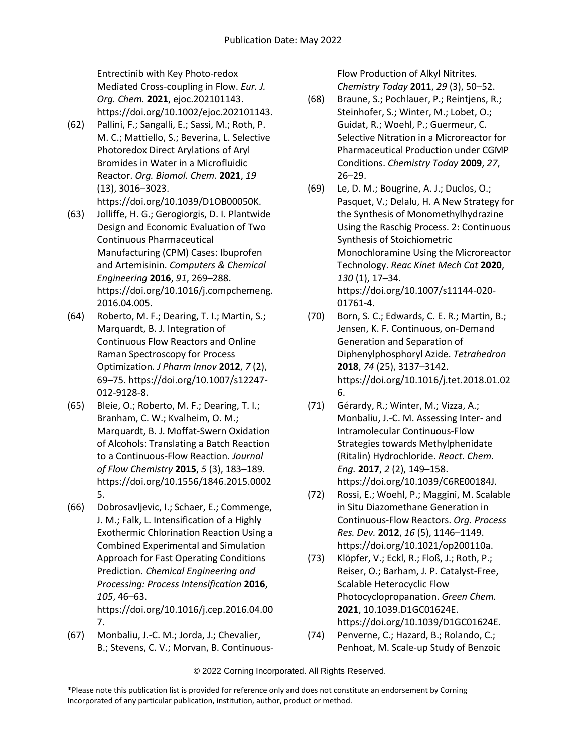Entrectinib with Key Photo‐redox Mediated Cross‐coupling in Flow. *Eur. J. Org. Chem.* **2021**, ejoc.202101143. https://doi.org/10.1002/ejoc.202101143.

- (62) Pallini, F.; Sangalli, E.; Sassi, M.; Roth, P. M. C.; Mattiello, S.; Beverina, L. Selective Photoredox Direct Arylations of Aryl Bromides in Water in a Microfluidic Reactor. *Org. Biomol. Chem.* **2021**, *19* (13), 3016–3023. https://doi.org/10.1039/D1OB00050K.
- (63) Jolliffe, H. G.; Gerogiorgis, D. I. Plantwide Design and Economic Evaluation of Two Continuous Pharmaceutical Manufacturing (CPM) Cases: Ibuprofen and Artemisinin. *Computers & Chemical Engineering* **2016**, *91*, 269–288. https://doi.org/10.1016/j.compchemeng. 2016.04.005.
- (64) Roberto, M. F.; Dearing, T. I.; Martin, S.; Marquardt, B. J. Integration of Continuous Flow Reactors and Online Raman Spectroscopy for Process Optimization. *J Pharm Innov* **2012**, *7* (2), 69–75. https://doi.org/10.1007/s12247- 012-9128-8.
- (65) Bleie, O.; Roberto, M. F.; Dearing, T. I.; Branham, C. W.; Kvalheim, O. M.; Marquardt, B. J. Moffat-Swern Oxidation of Alcohols: Translating a Batch Reaction to a Continuous-Flow Reaction. *Journal of Flow Chemistry* **2015**, *5* (3), 183–189. https://doi.org/10.1556/1846.2015.0002 5.
- (66) Dobrosavljevic, I.; Schaer, E.; Commenge, J. M.; Falk, L. Intensification of a Highly Exothermic Chlorination Reaction Using a Combined Experimental and Simulation Approach for Fast Operating Conditions Prediction. *Chemical Engineering and Processing: Process Intensification* **2016**, *105*, 46–63. https://doi.org/10.1016/j.cep.2016.04.00 7.
- (67) Monbaliu, J.-C. M.; Jorda, J.; Chevalier, B.; Stevens, C. V.; Morvan, B. Continuous-

Flow Production of Alkyl Nitrites. *Chemistry Today* **2011**, *29* (3), 50–52.

- (68) Braune, S.; Pochlauer, P.; Reintjens, R.; Steinhofer, S.; Winter, M.; Lobet, O.; Guidat, R.; Woehl, P.; Guermeur, C. Selective Nitration in a Microreactor for Pharmaceutical Production under CGMP Conditions. *Chemistry Today* **2009**, *27*, 26–29.
- (69) Le, D. M.; Bougrine, A. J.; Duclos, O.; Pasquet, V.; Delalu, H. A New Strategy for the Synthesis of Monomethylhydrazine Using the Raschig Process. 2: Continuous Synthesis of Stoichiometric Monochloramine Using the Microreactor Technology. *Reac Kinet Mech Cat* **2020**, *130* (1), 17–34. https://doi.org/10.1007/s11144-020- 01761-4.
- (70) Born, S. C.; Edwards, C. E. R.; Martin, B.; Jensen, K. F. Continuous, on-Demand Generation and Separation of Diphenylphosphoryl Azide. *Tetrahedron* **2018**, *74* (25), 3137–3142. https://doi.org/10.1016/j.tet.2018.01.02 6.
- (71) Gérardy, R.; Winter, M.; Vizza, A.; Monbaliu, J.-C. M. Assessing Inter- and Intramolecular Continuous-Flow Strategies towards Methylphenidate (Ritalin) Hydrochloride. *React. Chem. Eng.* **2017**, *2* (2), 149–158. https://doi.org/10.1039/C6RE00184J.
- (72) Rossi, E.; Woehl, P.; Maggini, M. Scalable in Situ Diazomethane Generation in Continuous-Flow Reactors. *Org. Process Res. Dev.* **2012**, *16* (5), 1146–1149. https://doi.org/10.1021/op200110a.
- (73) Klöpfer, V.; Eckl, R.; Floß, J.; Roth, P.; Reiser, O.; Barham, J. P. Catalyst-Free, Scalable Heterocyclic Flow Photocyclopropanation. *Green Chem.* **2021**, 10.1039.D1GC01624E. https://doi.org/10.1039/D1GC01624E.
- (74) Penverne, C.; Hazard, B.; Rolando, C.; Penhoat, M. Scale-up Study of Benzoic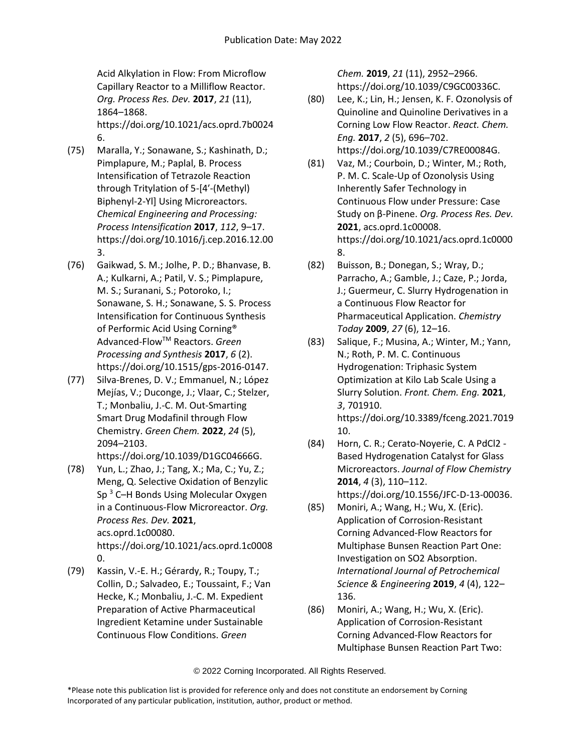Acid Alkylation in Flow: From Microflow Capillary Reactor to a Milliflow Reactor. *Org. Process Res. Dev.* **2017**, *21* (11), 1864–1868. https://doi.org/10.1021/acs.oprd.7b0024 6.

- (75) Maralla, Y.; Sonawane, S.; Kashinath, D.; Pimplapure, M.; Paplal, B. Process Intensification of Tetrazole Reaction through Tritylation of 5-[4′-(Methyl) Biphenyl-2-Yl] Using Microreactors. *Chemical Engineering and Processing: Process Intensification* **2017**, *112*, 9–17. https://doi.org/10.1016/j.cep.2016.12.00 3.
- (76) Gaikwad, S. M.; Jolhe, P. D.; Bhanvase, B. A.; Kulkarni, A.; Patil, V. S.; Pimplapure, M. S.; Suranani, S.; Potoroko, I.; Sonawane, S. H.; Sonawane, S. S. Process Intensification for Continuous Synthesis of Performic Acid Using Corning® Advanced-FlowTM Reactors. *Green Processing and Synthesis* **2017**, *6* (2). https://doi.org/10.1515/gps-2016-0147.
- (77) Silva-Brenes, D. V.; Emmanuel, N.; López Mejías, V.; Duconge, J.; Vlaar, C.; Stelzer, T.; Monbaliu, J.-C. M. Out-Smarting Smart Drug Modafinil through Flow Chemistry. *Green Chem.* **2022**, *24* (5), 2094–2103. https://doi.org/10.1039/D1GC04666G.
- (78) Yun, L.; Zhao, J.; Tang, X.; Ma, C.; Yu, Z.; Meng, Q. Selective Oxidation of Benzylic Sp<sup>3</sup> C–H Bonds Using Molecular Oxygen in a Continuous-Flow Microreactor. *Org. Process Res. Dev.* **2021**, acs.oprd.1c00080. https://doi.org/10.1021/acs.oprd.1c0008 0.
- (79) Kassin, V.-E. H.; Gérardy, R.; Toupy, T.; Collin, D.; Salvadeo, E.; Toussaint, F.; Van Hecke, K.; Monbaliu, J.-C. M. Expedient Preparation of Active Pharmaceutical Ingredient Ketamine under Sustainable Continuous Flow Conditions. *Green*

*Chem.* **2019**, *21* (11), 2952–2966. https://doi.org/10.1039/C9GC00336C.

- (80) Lee, K.; Lin, H.; Jensen, K. F. Ozonolysis of Quinoline and Quinoline Derivatives in a Corning Low Flow Reactor. *React. Chem. Eng.* **2017**, *2* (5), 696–702. https://doi.org/10.1039/C7RE00084G.
- (81) Vaz, M.; Courboin, D.; Winter, M.; Roth, P. M. C. Scale-Up of Ozonolysis Using Inherently Safer Technology in Continuous Flow under Pressure: Case Study on β-Pinene. *Org. Process Res. Dev.* **2021**, acs.oprd.1c00008. https://doi.org/10.1021/acs.oprd.1c0000 8.
- (82) Buisson, B.; Donegan, S.; Wray, D.; Parracho, A.; Gamble, J.; Caze, P.; Jorda, J.; Guermeur, C. Slurry Hydrogenation in a Continuous Flow Reactor for Pharmaceutical Application. *Chemistry Today* **2009**, *27* (6), 12–16.
- (83) Salique, F.; Musina, A.; Winter, M.; Yann, N.; Roth, P. M. C. Continuous Hydrogenation: Triphasic System Optimization at Kilo Lab Scale Using a Slurry Solution. *Front. Chem. Eng.* **2021**, *3*, 701910. https://doi.org/10.3389/fceng.2021.7019 10.
- (84) Horn, C. R.; Cerato-Noyerie, C. A PdCl2 Based Hydrogenation Catalyst for Glass Microreactors. *Journal of Flow Chemistry* **2014**, *4* (3), 110–112. https://doi.org/10.1556/JFC-D-13-00036.
- (85) Moniri, A.; Wang, H.; Wu, X. (Eric). Application of Corrosion-Resistant Corning Advanced-Flow Reactors for Multiphase Bunsen Reaction Part One: Investigation on SO2 Absorption. *International Journal of Petrochemical Science & Engineering* **2019**, *4* (4), 122– 136.
- (86) Moniri, A.; Wang, H.; Wu, X. (Eric). Application of Corrosion-Resistant Corning Advanced-Flow Reactors for Multiphase Bunsen Reaction Part Two: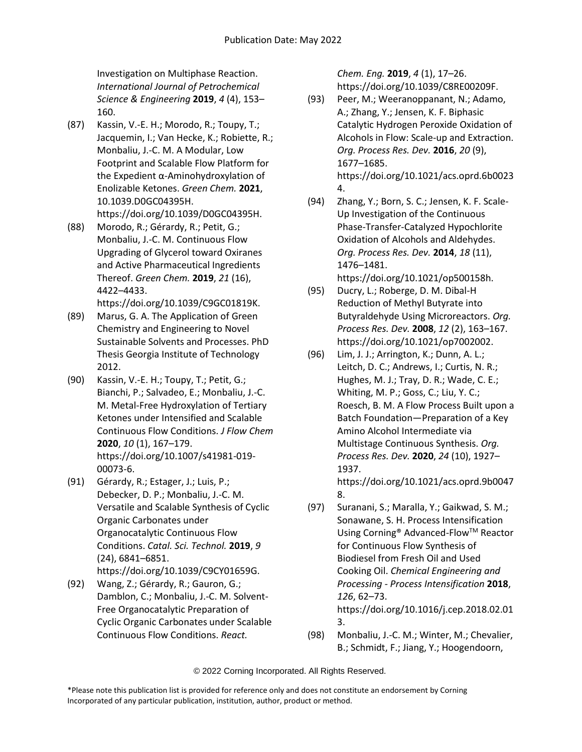Investigation on Multiphase Reaction. *International Journal of Petrochemical Science & Engineering* **2019**, *4* (4), 153– 160.

- (87) Kassin, V.-E. H.; Morodo, R.; Toupy, T.; Jacquemin, I.; Van Hecke, K.; Robiette, R.; Monbaliu, J.-C. M. A Modular, Low Footprint and Scalable Flow Platform for the Expedient α-Aminohydroxylation of Enolizable Ketones. *Green Chem.* **2021**, 10.1039.D0GC04395H. https://doi.org/10.1039/D0GC04395H.
- (88) Morodo, R.; Gérardy, R.; Petit, G.; Monbaliu, J.-C. M. Continuous Flow Upgrading of Glycerol toward Oxiranes and Active Pharmaceutical Ingredients Thereof. *Green Chem.* **2019**, *21* (16), 4422–4433.

https://doi.org/10.1039/C9GC01819K.

- (89) Marus, G. A. The Application of Green Chemistry and Engineering to Novel Sustainable Solvents and Processes. PhD Thesis Georgia Institute of Technology 2012.
- (90) Kassin, V.-E. H.; Toupy, T.; Petit, G.; Bianchi, P.; Salvadeo, E.; Monbaliu, J.-C. M. Metal-Free Hydroxylation of Tertiary Ketones under Intensified and Scalable Continuous Flow Conditions. *J Flow Chem* **2020**, *10* (1), 167–179. https://doi.org/10.1007/s41981-019- 00073-6.
- (91) Gérardy, R.; Estager, J.; Luis, P.; Debecker, D. P.; Monbaliu, J.-C. M. Versatile and Scalable Synthesis of Cyclic Organic Carbonates under Organocatalytic Continuous Flow Conditions. *Catal. Sci. Technol.* **2019**, *9* (24), 6841–6851. https://doi.org/10.1039/C9CY01659G.
- (92) Wang, Z.; Gérardy, R.; Gauron, G.; Damblon, C.; Monbaliu, J.-C. M. Solvent-Free Organocatalytic Preparation of Cyclic Organic Carbonates under Scalable Continuous Flow Conditions. *React.*

*Chem. Eng.* **2019**, *4* (1), 17–26. https://doi.org/10.1039/C8RE00209F.

- (93) Peer, M.; Weeranoppanant, N.; Adamo, A.; Zhang, Y.; Jensen, K. F. Biphasic Catalytic Hydrogen Peroxide Oxidation of Alcohols in Flow: Scale-up and Extraction. *Org. Process Res. Dev.* **2016**, *20* (9), 1677–1685. https://doi.org/10.1021/acs.oprd.6b0023 4.
- (94) Zhang, Y.; Born, S. C.; Jensen, K. F. Scale-Up Investigation of the Continuous Phase-Transfer-Catalyzed Hypochlorite Oxidation of Alcohols and Aldehydes. *Org. Process Res. Dev.* **2014**, *18* (11), 1476–1481. https://doi.org/10.1021/op500158h.
- (95) Ducry, L.; Roberge, D. M. Dibal-H Reduction of Methyl Butyrate into Butyraldehyde Using Microreactors. *Org. Process Res. Dev.* **2008**, *12* (2), 163–167. https://doi.org/10.1021/op7002002.
- (96) Lim, J. J.; Arrington, K.; Dunn, A. L.; Leitch, D. C.; Andrews, I.; Curtis, N. R.; Hughes, M. J.; Tray, D. R.; Wade, C. E.; Whiting, M. P.; Goss, C.; Liu, Y. C.; Roesch, B. M. A Flow Process Built upon a Batch Foundation—Preparation of a Key Amino Alcohol Intermediate via Multistage Continuous Synthesis. *Org. Process Res. Dev.* **2020**, *24* (10), 1927– 1937. https://doi.org/10.1021/acs.oprd.9b0047
	- 8.
- (97) Suranani, S.; Maralla, Y.; Gaikwad, S. M.; Sonawane, S. H. Process Intensification Using Corning® Advanced-Flow™ Reactor for Continuous Flow Synthesis of Biodiesel from Fresh Oil and Used Cooking Oil. *Chemical Engineering and Processing - Process Intensification* **2018**, *126*, 62–73. https://doi.org/10.1016/j.cep.2018.02.01 3.
- (98) Monbaliu, J.-C. M.; Winter, M.; Chevalier, B.; Schmidt, F.; Jiang, Y.; Hoogendoorn,

© 2022 Corning Incorporated. All Rights Reserved.